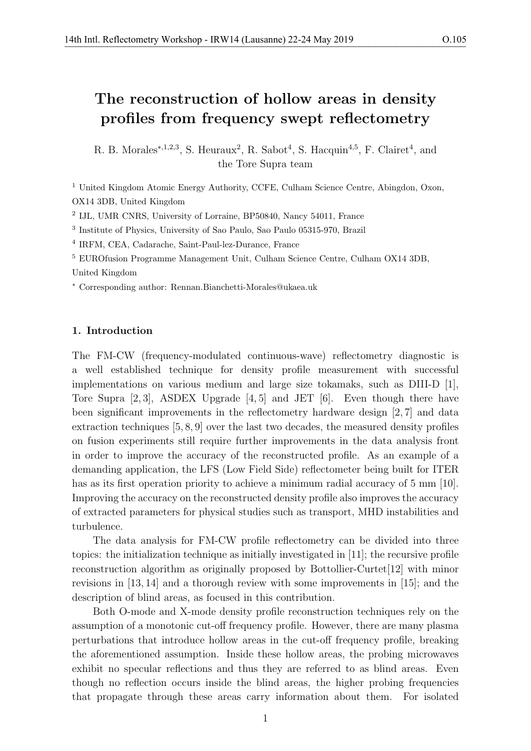R. B. Morales<sup>\*,1,2,3</sup>, S. Heuraux<sup>2</sup>, R. Sabot<sup>4</sup>, S. Hacquin<sup>4,5</sup>, F. Clairet<sup>4</sup>, and the Tore Supra team

<sup>1</sup> United Kingdom Atomic Energy Authority, CCFE, Culham Science Centre, Abingdon, Oxon, OX14 3DB, United Kingdom

2 IJL, UMR CNRS, University of Lorraine, BP50840, Nancy 54011, France

3 Institute of Physics, University of Sao Paulo, Sao Paulo 05315-970, Brazil

4 IRFM, CEA, Cadarache, Saint-Paul-lez-Durance, France

<sup>5</sup> EUROfusion Programme Management Unit, Culham Science Centre, Culham OX14 3DB, United Kingdom

<sup>∗</sup> Corresponding author: Rennan.Bianchetti-Morales@ukaea.uk

# 1. Introduction

The FM-CW (frequency-modulated continuous-wave) reflectometry diagnostic is a well established technique for density profile measurement with successful implementations on various medium and large size tokamaks, such as DIII-D [1], Tore Supra [2, 3], ASDEX Upgrade [4, 5] and JET [6]. Even though there have been significant improvements in the reflectometry hardware design [2, 7] and data extraction techniques [5, 8, 9] over the last two decades, the measured density profiles on fusion experiments still require further improvements in the data analysis front in order to improve the accuracy of the reconstructed profile. As an example of a demanding application, the LFS (Low Field Side) reflectometer being built for ITER has as its first operation priority to achieve a minimum radial accuracy of 5 mm [10]. Improving the accuracy on the reconstructed density profile also improves the accuracy of extracted parameters for physical studies such as transport, MHD instabilities and turbulence.

The data analysis for FM-CW profile reflectometry can be divided into three topics: the initialization technique as initially investigated in [11]; the recursive profile reconstruction algorithm as originally proposed by Bottollier-Curtet[12] with minor revisions in [13, 14] and a thorough review with some improvements in [15]; and the description of blind areas, as focused in this contribution.

Both O-mode and X-mode density profile reconstruction techniques rely on the assumption of a monotonic cut-off frequency profile. However, there are many plasma perturbations that introduce hollow areas in the cut-off frequency profile, breaking the aforementioned assumption. Inside these hollow areas, the probing microwaves exhibit no specular reflections and thus they are referred to as blind areas. Even though no reflection occurs inside the blind areas, the higher probing frequencies that propagate through these areas carry information about them. For isolated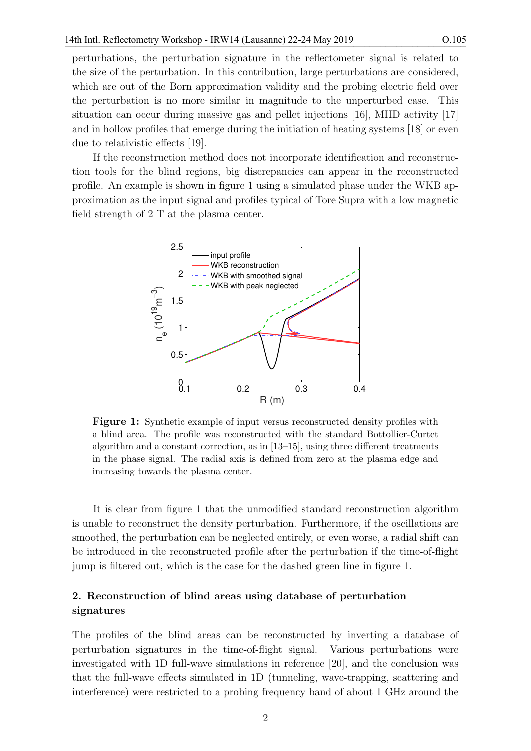perturbations, the perturbation signature in the reflectometer signal is related to the size of the perturbation. In this contribution, large perturbations are considered, which are out of the Born approximation validity and the probing electric field over the perturbation is no more similar in magnitude to the unperturbed case. This situation can occur during massive gas and pellet injections [16], MHD activity [17] and in hollow profiles that emerge during the initiation of heating systems [18] or even due to relativistic effects [19].

If the reconstruction method does not incorporate identification and reconstruction tools for the blind regions, big discrepancies can appear in the reconstructed profile. An example is shown in figure 1 using a simulated phase under the WKB approximation as the input signal and profiles typical of Tore Supra with a low magnetic field strength of 2 T at the plasma center.



Figure 1: Synthetic example of input versus reconstructed density profiles with a blind area. The profile was reconstructed with the standard Bottollier-Curtet algorithm and a constant correction, as in [13–15], using three different treatments in the phase signal. The radial axis is defined from zero at the plasma edge and increasing towards the plasma center.

It is clear from figure 1 that the unmodified standard reconstruction algorithm is unable to reconstruct the density perturbation. Furthermore, if the oscillations are smoothed, the perturbation can be neglected entirely, or even worse, a radial shift can be introduced in the reconstructed profile after the perturbation if the time-of-flight jump is filtered out, which is the case for the dashed green line in figure 1.

# 2. Reconstruction of blind areas using database of perturbation signatures

The profiles of the blind areas can be reconstructed by inverting a database of perturbation signatures in the time-of-flight signal. Various perturbations were investigated with 1D full-wave simulations in reference [20], and the conclusion was that the full-wave effects simulated in 1D (tunneling, wave-trapping, scattering and interference) were restricted to a probing frequency band of about 1 GHz around the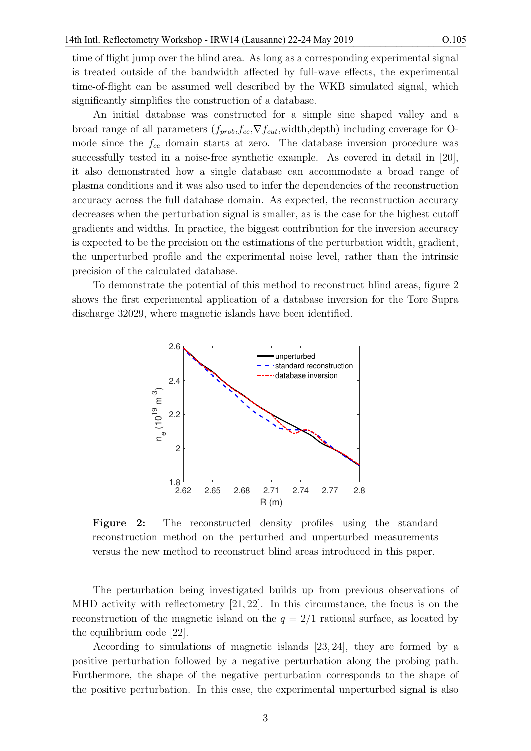time of flight jump over the blind area. As long as a corresponding experimental signal is treated outside of the bandwidth affected by full-wave effects, the experimental time-of-flight can be assumed well described by the WKB simulated signal, which significantly simplifies the construction of a database.

An initial database was constructed for a simple sine shaped valley and a broad range of all parameters  $(f_{prob}, f_{ce}, \nabla f_{cut}, \text{width}, \text{depth})$  including coverage for Omode since the  $f_{ce}$  domain starts at zero. The database inversion procedure was successfully tested in a noise-free synthetic example. As covered in detail in [20], it also demonstrated how a single database can accommodate a broad range of plasma conditions and it was also used to infer the dependencies of the reconstruction accuracy across the full database domain. As expected, the reconstruction accuracy decreases when the perturbation signal is smaller, as is the case for the highest cutoff gradients and widths. In practice, the biggest contribution for the inversion accuracy is expected to be the precision on the estimations of the perturbation width, gradient, the unperturbed profile and the experimental noise level, rather than the intrinsic precision of the calculated database.

To demonstrate the potential of this method to reconstruct blind areas, figure 2 shows the first experimental application of a database inversion for the Tore Supra discharge 32029, where magnetic islands have been identified.



Figure 2: The reconstructed density profiles using the standard reconstruction method on the perturbed and unperturbed measurements versus the new method to reconstruct blind areas introduced in this paper.

The perturbation being investigated builds up from previous observations of MHD activity with reflectometry [21, 22]. In this circumstance, the focus is on the reconstruction of the magnetic island on the  $q = 2/1$  rational surface, as located by the equilibrium code [22].

According to simulations of magnetic islands [23, 24], they are formed by a positive perturbation followed by a negative perturbation along the probing path. Furthermore, the shape of the negative perturbation corresponds to the shape of the positive perturbation. In this case, the experimental unperturbed signal is also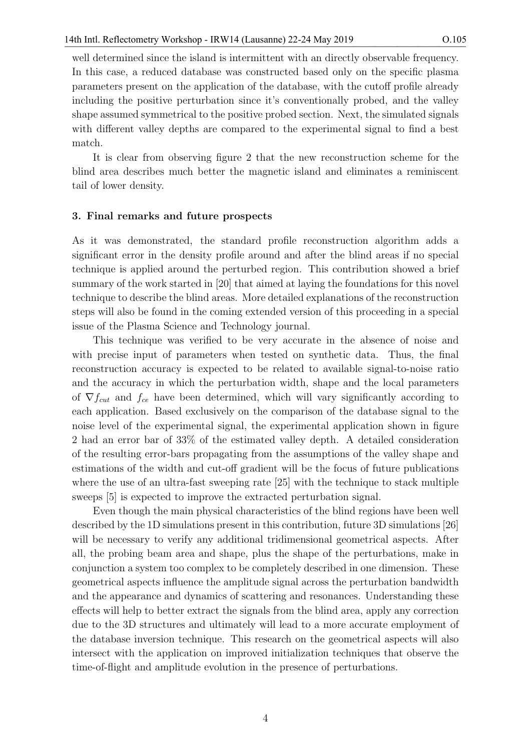well determined since the island is intermittent with an directly observable frequency. In this case, a reduced database was constructed based only on the specific plasma parameters present on the application of the database, with the cutoff profile already including the positive perturbation since it's conventionally probed, and the valley shape assumed symmetrical to the positive probed section. Next, the simulated signals with different valley depths are compared to the experimental signal to find a best match.

It is clear from observing figure 2 that the new reconstruction scheme for the blind area describes much better the magnetic island and eliminates a reminiscent tail of lower density.

#### 3. Final remarks and future prospects

As it was demonstrated, the standard profile reconstruction algorithm adds a significant error in the density profile around and after the blind areas if no special technique is applied around the perturbed region. This contribution showed a brief summary of the work started in [20] that aimed at laying the foundations for this novel technique to describe the blind areas. More detailed explanations of the reconstruction steps will also be found in the coming extended version of this proceeding in a special issue of the Plasma Science and Technology journal.

This technique was verified to be very accurate in the absence of noise and with precise input of parameters when tested on synthetic data. Thus, the final reconstruction accuracy is expected to be related to available signal-to-noise ratio and the accuracy in which the perturbation width, shape and the local parameters of  $\nabla f_{cut}$  and  $f_{ce}$  have been determined, which will vary significantly according to each application. Based exclusively on the comparison of the database signal to the noise level of the experimental signal, the experimental application shown in figure 2 had an error bar of 33% of the estimated valley depth. A detailed consideration of the resulting error-bars propagating from the assumptions of the valley shape and estimations of the width and cut-off gradient will be the focus of future publications where the use of an ultra-fast sweeping rate [25] with the technique to stack multiple sweeps [5] is expected to improve the extracted perturbation signal.

Even though the main physical characteristics of the blind regions have been well described by the 1D simulations present in this contribution, future 3D simulations [26] will be necessary to verify any additional tridimensional geometrical aspects. After all, the probing beam area and shape, plus the shape of the perturbations, make in conjunction a system too complex to be completely described in one dimension. These geometrical aspects influence the amplitude signal across the perturbation bandwidth and the appearance and dynamics of scattering and resonances. Understanding these effects will help to better extract the signals from the blind area, apply any correction due to the 3D structures and ultimately will lead to a more accurate employment of the database inversion technique. This research on the geometrical aspects will also intersect with the application on improved initialization techniques that observe the time-of-flight and amplitude evolution in the presence of perturbations.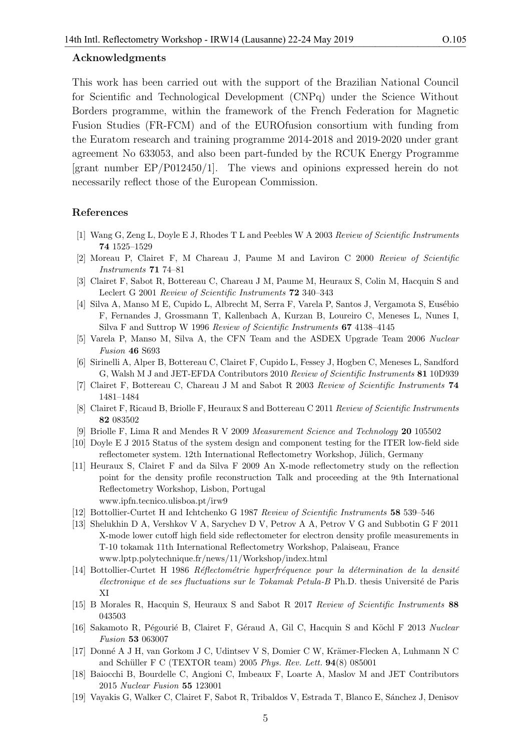## Acknowledgments

This work has been carried out with the support of the Brazilian National Council for Scientific and Technological Development (CNPq) under the Science Without Borders programme, within the framework of the French Federation for Magnetic Fusion Studies (FR-FCM) and of the EUROfusion consortium with funding from the Euratom research and training programme 2014-2018 and 2019-2020 under grant agreement No 633053, and also been part-funded by the RCUK Energy Programme [grant number EP/P012450/1]. The views and opinions expressed herein do not necessarily reflect those of the European Commission.

## References

- [1] Wang G, Zeng L, Doyle E J, Rhodes T L and Peebles W A 2003 Review of Scientific Instruments 74 1525–1529
- [2] Moreau P, Clairet F, M Chareau J, Paume M and Laviron C 2000 Review of Scientific Instruments 71 74–81
- [3] Clairet F, Sabot R, Bottereau C, Chareau J M, Paume M, Heuraux S, Colin M, Hacquin S and Leclert G 2001 Review of Scientific Instruments 72 340–343
- [4] Silva A, Manso M E, Cupido L, Albrecht M, Serra F, Varela P, Santos J, Vergamota S, Eusébio F, Fernandes J, Grossmann T, Kallenbach A, Kurzan B, Loureiro C, Meneses L, Nunes I, Silva F and Suttrop W 1996 Review of Scientific Instruments 67 4138–4145
- [5] Varela P, Manso M, Silva A, the CFN Team and the ASDEX Upgrade Team 2006 Nuclear Fusion 46 S693
- [6] Sirinelli A, Alper B, Bottereau C, Clairet F, Cupido L, Fessey J, Hogben C, Meneses L, Sandford G, Walsh M J and JET-EFDA Contributors 2010 Review of Scientific Instruments 81 10D939
- [7] Clairet F, Bottereau C, Chareau J M and Sabot R 2003 Review of Scientific Instruments 74 1481–1484
- [8] Clairet F, Ricaud B, Briolle F, Heuraux S and Bottereau C 2011 Review of Scientific Instruments 82 083502
- [9] Briolle F, Lima R and Mendes R V 2009 Measurement Science and Technology 20 105502
- [10] Doyle E J 2015 Status of the system design and component testing for the ITER low-field side reflectometer system. 12th International Reflectometry Workshop, Jülich, Germany
- [11] Heuraux S, Clairet F and da Silva F 2009 An X-mode reflectometry study on the reflection point for the density profile reconstruction Talk and proceeding at the 9th International Reflectometry Workshop, Lisbon, Portugal www.ipfn.tecnico.ulisboa.pt/irw9
- [12] Bottollier-Curtet H and Ichtchenko G 1987 Review of Scientific Instruments 58 539–546
- [13] Shelukhin D A, Vershkov V A, Sarychev D V, Petrov A A, Petrov V G and Subbotin G F 2011 X-mode lower cutoff high field side reflectometer for electron density profile measurements in T-10 tokamak 11th International Reflectometry Workshop, Palaiseau, France www.lptp.polytechnique.fr/news/11/Workshop/index.html
- $[14]$  Bottollier-Curtet H 1986 Réflectométrie hyperfréquence pour la détermination de la densité ´electronique et de ses fluctuations sur le Tokamak Petula-B Ph.D. thesis Universit´e de Paris XI
- [15] B Morales R, Hacquin S, Heuraux S and Sabot R 2017 Review of Scientific Instruments 88 043503
- [16] Sakamoto R, Pégourié B, Clairet F, Géraud A, Gil C, Hacquin S and Köchl F 2013 Nuclear Fusion 53 063007
- [17] Donné A J H, van Gorkom J C, Udintsev V S, Domier C W, Krämer-Flecken A, Luhmann N C and Schüller F C (TEXTOR team) 2005 Phys. Rev. Lett.  $94(8)$  085001
- [18] Baiocchi B, Bourdelle C, Angioni C, Imbeaux F, Loarte A, Maslov M and JET Contributors 2015 Nuclear Fusion 55 123001
- [19] Vayakis G, Walker C, Clairet F, Sabot R, Tribaldos V, Estrada T, Blanco E, S´anchez J, Denisov